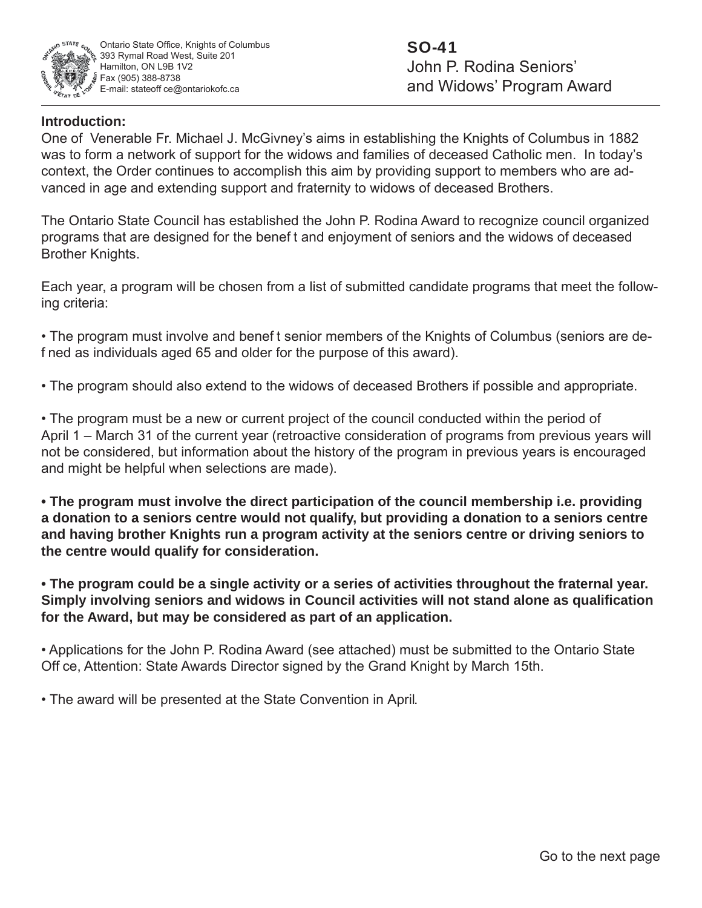

## **Introduction:**

One of Venerable Fr. Michael J. McGivney's aims in establishing the Knights of Columbus in 1882 was to form a network of support for the widows and families of deceased Catholic men. In today's context, the Order continues to accomplish this aim by providing support to members who are advanced in age and extending support and fraternity to widows of deceased Brothers.

The Ontario State Council has established the John P. Rodina Award to recognize council organized programs that are designed for the benef t and enjoyment of seniors and the widows of deceased Brother Knights.

Each year, a program will be chosen from a list of submitted candidate programs that meet the following criteria:

• The program must involve and benef t senior members of the Knights of Columbus (seniors are def ned as individuals aged 65 and older for the purpose of this award).

• The program should also extend to the widows of deceased Brothers if possible and appropriate.

• The program must be a new or current project of the council conducted within the period of April 1 – March 31 of the current year (retroactive consideration of programs from previous years will not be considered, but information about the history of the program in previous years is encouraged and might be helpful when selections are made).

**• The program must involve the direct participation of the council membership i.e. providing a donation to a seniors centre would not qualify, but providing a donation to a seniors centre and having brother Knights run a program activity at the seniors centre or driving seniors to the centre would qualify for consideration.**

**• The program could be a single activity or a series of activities throughout the fraternal year. Simply involving seniors and widows in Council activities will not stand alone as qualifi cation for the Award, but may be considered as part of an application.**

• Applications for the John P. Rodina Award (see attached) must be submitted to the Ontario State Off ce, Attention: State Awards Director signed by the Grand Knight by March 15th.

• The award will be presented at the State Convention in April.